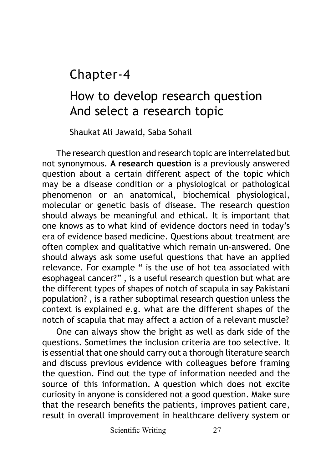Chapter-4

## How to develop research question And select a research topic

Shaukat Ali Jawaid, Saba Sohail

The research question and research topic are interrelated but not synonymous. **A research question** is a previously answered question about a certain different aspect of the topic which may be a disease condition or a physiological or pathological phenomenon or an anatomical, biochemical physiological, molecular or genetic basis of disease. The research question should always be meaningful and ethical. It is important that one knows as to what kind of evidence doctors need in today's era of evidence based medicine. Questions about treatment are often complex and qualitative which remain un-answered. One should always ask some useful questions that have an applied relevance. For example " is the use of hot tea associated with esophageal cancer?" , is a useful research question but what are the different types of shapes of notch of scapula in say Pakistani population? , is a rather suboptimal research question unless the context is explained e.g. what are the different shapes of the notch of scapula that may affect a action of a relevant muscle?

One can always show the bright as well as dark side of the questions. Sometimes the inclusion criteria are too selective. It is essential that one should carry out a thorough literature search and discuss previous evidence with colleagues before framing the question. Find out the type of information needed and the source of this information. A question which does not excite curiosity in anyone is considered not a good question. Make sure that the research benefits the patients, improves patient care, result in overall improvement in healthcare delivery system or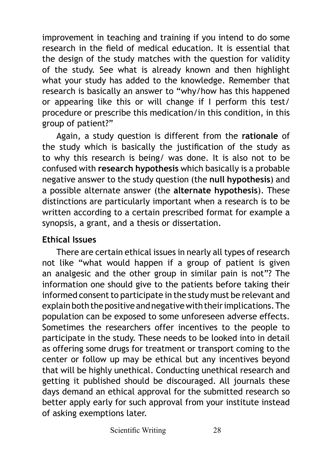improvement in teaching and training if you intend to do some research in the field of medical education. It is essential that the design of the study matches with the question for validity of the study. See what is already known and then highlight what your study has added to the knowledge. Remember that research is basically an answer to "why/how has this happened or appearing like this or will change if I perform this test/ procedure or prescribe this medication/in this condition, in this group of patient?"

Again, a study question is different from the **rationale** of the study which is basically the justification of the study as to why this research is being/ was done. It is also not to be confused with **research hypothesis** which basically is a probable negative answer to the study question (the **null hypothesis**) and a possible alternate answer (the **alternate hypothesis**). These distinctions are particularly important when a research is to be written according to a certain prescribed format for example a synopsis, a grant, and a thesis or dissertation.

## **Ethical Issues**

There are certain ethical issues in nearly all types of research not like "what would happen if a group of patient is given an analgesic and the other group in similar pain is not"? The information one should give to the patients before taking their informed consent to participate in the study must be relevant and explain both the positive and negative with their implications. The population can be exposed to some unforeseen adverse effects. Sometimes the researchers offer incentives to the people to participate in the study. These needs to be looked into in detail as offering some drugs for treatment or transport coming to the center or follow up may be ethical but any incentives beyond that will be highly unethical. Conducting unethical research and getting it published should be discouraged. All journals these days demand an ethical approval for the submitted research so better apply early for such approval from your institute instead of asking exemptions later.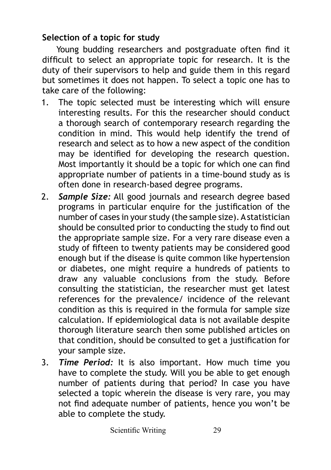## **Selection of a topic for study**

Young budding researchers and postgraduate often find it difficult to select an appropriate topic for research. It is the duty of their supervisors to help and guide them in this regard but sometimes it does not happen. To select a topic one has to take care of the following:

- 1. The topic selected must be interesting which will ensure interesting results. For this the researcher should conduct a thorough search of contemporary research regarding the condition in mind. This would help identify the trend of research and select as to how a new aspect of the condition may be identified for developing the research question. Most importantly it should be a topic for which one can find appropriate number of patients in a time-bound study as is often done in research-based degree programs.
- 2. *Sample Size:* All good journals and research degree based programs in particular enquire for the justification of the number of cases in your study (the sample size). A statistician should be consulted prior to conducting the study to find out the appropriate sample size. For a very rare disease even a study of fifteen to twenty patients may be considered good enough but if the disease is quite common like hypertension or diabetes, one might require a hundreds of patients to draw any valuable conclusions from the study. Before consulting the statistician, the researcher must get latest references for the prevalence/ incidence of the relevant condition as this is required in the formula for sample size calculation. If epidemiological data is not available despite thorough literature search then some published articles on that condition, should be consulted to get a justification for your sample size.
- 3. *Time Period:* It is also important. How much time you have to complete the study. Will you be able to get enough number of patients during that period? In case you have selected a topic wherein the disease is very rare, you may not find adequate number of patients, hence you won't be able to complete the study.